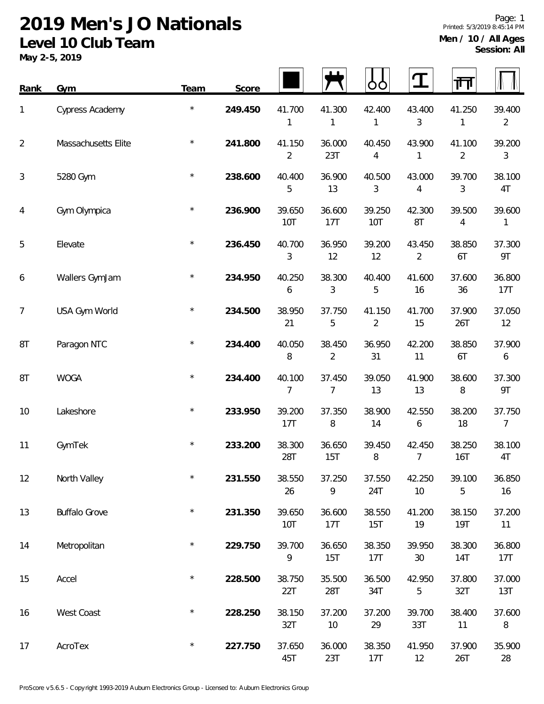| <b>Rank</b>    | Gym                  | Team       | Score   |                          |                          | OO            | I                        | गंग                  |                            |
|----------------|----------------------|------------|---------|--------------------------|--------------------------|---------------|--------------------------|----------------------|----------------------------|
| 1              | Cypress Academy      | $^\star$   | 249.450 | 41.700<br>1              | 41.300<br>1              | 42.400<br>1   | 43.400<br>3              | 41.250<br>1          | 39.400<br>$\overline{2}$   |
| $\overline{2}$ | Massachusetts Elite  |            | 241.800 | 41.150<br>$\overline{2}$ | 36.000<br>23T            | 40.450<br>4   | 43.900<br>1              | 41.100<br>2          | 39.200<br>$\mathfrak{Z}$   |
| $\mathfrak{Z}$ | 5280 Gym             | $^{\star}$ | 238.600 | 40.400<br>5              | 36.900<br>13             | 40.500<br>3   | 43.000<br>4              | 39.700<br>3          | 38.100<br>4T               |
| 4              | Gym Olympica         | $^{\star}$ | 236.900 | 39.650<br>10T            | 36.600<br>17T            | 39.250<br>10T | 42.300<br>8T             | 39.500<br>4          | 39.600<br>1                |
| 5              | Elevate              | $\star$    | 236.450 | 40.700<br>3              | 36.950<br>12             | 39.200<br>12  | 43.450<br>$\overline{2}$ | 38.850<br>6T         | 37.300<br>9T               |
| 6              | Wallers GymJam       |            | 234.950 | 40.250<br>6              | 38.300<br>3              | 40.400<br>5   | 41.600<br>16             | 37.600<br>36         | 36.800<br>17T              |
| $\overline{7}$ | USA Gym World        | $^\star$   | 234.500 | 38.950<br>21             | 37.750<br>5              | 41.150<br>2   | 41.700<br>15             | 37.900<br>26T        | 37.050<br>12               |
| 8T             | Paragon NTC          | $^\star$   | 234.400 | 40.050<br>8              | 38.450<br>$\overline{2}$ | 36.950<br>31  | 42.200<br>11             | 38.850<br>6T         | 37.900<br>$\boldsymbol{6}$ |
| 8T             | <b>WOGA</b>          | $^\star$   | 234.400 | 40.100<br>7              | 37.450<br>7              | 39.050<br>13  | 41.900<br>13             | 38.600<br>8          | 37.300<br>9T               |
| 10             | Lakeshore            | $^\star$   | 233.950 | 39.200<br>17T            | 37.350<br>8              | 38.900<br>14  | 42.550<br>6              | 38.200<br>18         | 37.750<br>$\overline{7}$   |
| 11             | GymTek               | $^{\star}$ | 233.200 | 38.300<br>28T            | 36.650<br>15T            | 39.450<br>8   | 42.450<br>7              | 38.250<br>16T        | 38.100<br>4T               |
| 12             | North Valley         | $\star$    | 231.550 | 38.550<br>26             | 37.250<br>9              | 37.550<br>24T | 42.250<br>10             | 39.100<br>5          | 36.850<br>16               |
| 13             | <b>Buffalo Grove</b> | $^{\star}$ | 231.350 | 39.650<br>10T            | 36.600<br>17T            | 38.550<br>15T | 41.200<br>19             | 38.150<br><b>19T</b> | 37.200<br>11               |
| 14             | Metropolitan         | $\star$    | 229.750 | 39.700<br>9              | 36.650<br>15T            | 38.350<br>17T | 39.950<br>$30\,$         | 38.300<br>14T        | 36.800<br>17T              |
| 15             | Accel                | $\star$    | 228.500 | 38.750<br>22T            | 35.500<br>28T            | 36.500<br>34T | 42.950<br>5              | 37.800<br>32T        | 37.000<br>13T              |
| 16             | West Coast           | $\star$    | 228.250 | 38.150<br>32T            | 37.200<br>10             | 37.200<br>29  | 39.700<br>33T            | 38.400<br>11         | 37.600<br>$\, 8$           |
| 17             | AcroTex              | $\star$    | 227.750 | 37.650<br>45T            | 36.000<br>23T            | 38.350<br>17T | 41.950<br>12             | 37.900<br>26T        | 35.900<br>28               |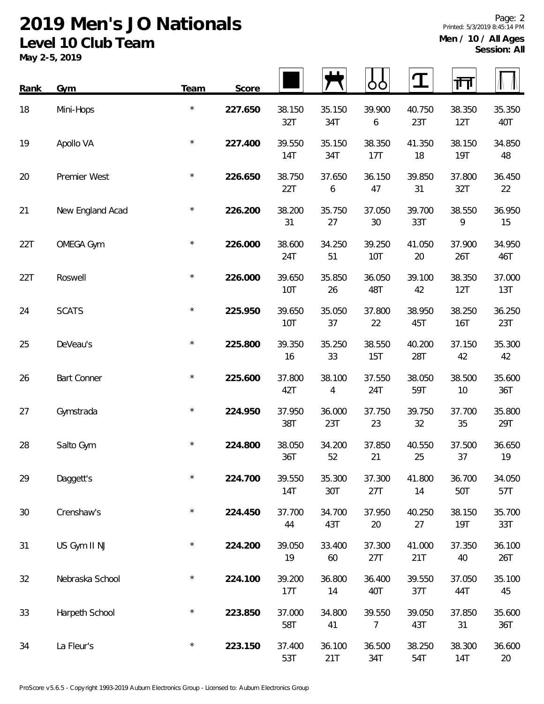**May 2-5, 2019**

| <b>Rank</b> | Gym                | Team    | Score   |                      |               |                      |               | गंग                  |               |
|-------------|--------------------|---------|---------|----------------------|---------------|----------------------|---------------|----------------------|---------------|
| 18          | Mini-Hops          | $\star$ | 227.650 | 38.150<br>32T        | 35.150<br>34T | 39.900<br>6          | 40.750<br>23T | 38.350<br>12T        | 35.350<br>40T |
| 19          | Apollo VA          | $\star$ | 227.400 | 39.550<br>14T        | 35.150<br>34T | 38.350<br>17T        | 41.350<br>18  | 38.150<br><b>19T</b> | 34.850<br>48  |
| 20          | Premier West       | $\star$ | 226.650 | 38.750<br>22T        | 37.650<br>6   | 36.150<br>47         | 39.850<br>31  | 37.800<br>32T        | 36.450<br>22  |
| 21          | New England Acad   | $\star$ | 226.200 | 38.200<br>31         | 35.750<br>27  | 37.050<br>$30\,$     | 39.700<br>33T | 38.550<br>9          | 36.950<br>15  |
| 22T         | OMEGA Gym          | $\star$ | 226.000 | 38.600<br>24T        | 34.250<br>51  | 39.250<br><b>10T</b> | 41.050<br>20  | 37.900<br>26T        | 34.950<br>46T |
| 22T         | Roswell            | $\star$ | 226.000 | 39.650<br>10T        | 35.850<br>26  | 36.050<br>48T        | 39.100<br>42  | 38.350<br>12T        | 37.000<br>13T |
| 24          | <b>SCATS</b>       | $\star$ | 225.950 | 39.650<br>10T        | 35.050<br>37  | 37.800<br>22         | 38.950<br>45T | 38.250<br><b>16T</b> | 36.250<br>23T |
| 25          | DeVeau's           | $\star$ | 225.800 | 39.350<br>16         | 35.250<br>33  | 38.550<br>15T        | 40.200<br>28T | 37.150<br>42         | 35.300<br>42  |
| 26          | <b>Bart Conner</b> | $\star$ | 225.600 | 37.800<br>42T        | 38.100<br>4   | 37.550<br>24T        | 38.050<br>59T | 38.500<br>10         | 35.600<br>36T |
| 27          | Gymstrada          | $\star$ | 224.950 | 37.950<br>38T        | 36.000<br>23T | 37.750<br>23         | 39.750<br>32  | 37.700<br>35         | 35.800<br>29T |
| 28          | Salto Gym          | $\star$ | 224.800 | 38.050<br>36T        | 34.200<br>52  | 37.850<br>21         | 40.550<br>25  | 37.500<br>37         | 36.650<br>19  |
| 29          | Daggett's          | $\star$ | 224.700 | 39.550<br><b>14T</b> | 35.300<br>30T | 37.300<br>27T        | 41.800<br>14  | 36.700<br>50T        | 34.050<br>57T |
| 30          | Crenshaw's         | $\star$ | 224.450 | 37.700<br>44         | 34.700<br>43T | 37.950<br>20         | 40.250<br>27  | 38.150<br><b>19T</b> | 35.700<br>33T |
| 31          | US Gym II NJ       | $\star$ | 224.200 | 39.050<br>19         | 33.400<br>60  | 37.300<br>27T        | 41.000<br>21T | 37.350<br>40         | 36.100<br>26T |
| 32          | Nebraska School    | $\star$ | 224.100 | 39.200<br>17T        | 36.800<br>14  | 36.400<br>40T        | 39.550<br>37T | 37.050<br>44T        | 35.100<br>45  |
| 33          | Harpeth School     | $\star$ | 223.850 | 37.000<br>58T        | 34.800<br>41  | 39.550<br>7          | 39.050<br>43T | 37.850<br>31         | 35.600<br>36T |
| 34          | La Fleur's         | $\star$ | 223.150 | 37.400<br>53T        | 36.100<br>21T | 36.500<br>34T        | 38.250<br>54T | 38.300<br><b>14T</b> | 36.600<br>20  |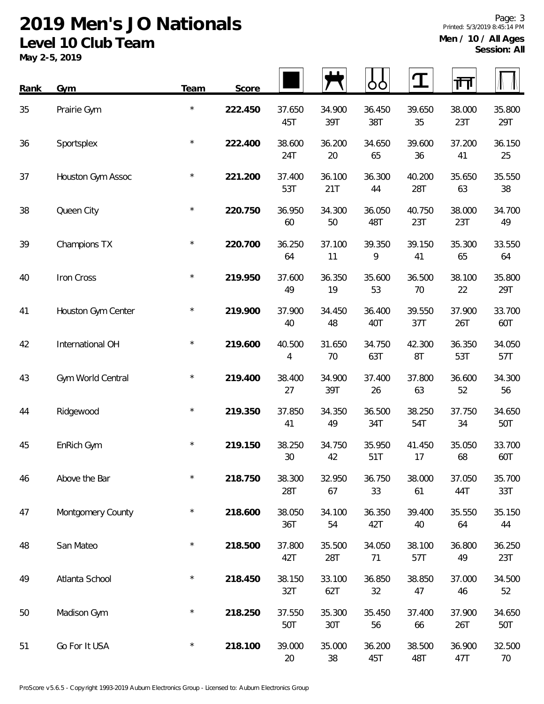| Rank | <b>Gym</b>         | Team    | Score   |               |               | OO            | <u> ፲</u>     | गा            |               |
|------|--------------------|---------|---------|---------------|---------------|---------------|---------------|---------------|---------------|
| 35   | Prairie Gym        | $\star$ | 222.450 | 37.650<br>45T | 34.900<br>39T | 36.450<br>38T | 39.650<br>35  | 38.000<br>23T | 35.800<br>29T |
| 36   | Sportsplex         | $\star$ | 222.400 | 38.600<br>24T | 36.200<br>20  | 34.650<br>65  | 39.600<br>36  | 37.200<br>41  | 36.150<br>25  |
| 37   | Houston Gym Assoc  | $\star$ | 221.200 | 37.400<br>53T | 36.100<br>21T | 36.300<br>44  | 40.200<br>28T | 35.650<br>63  | 35.550<br>38  |
| 38   | Queen City         | $\star$ | 220.750 | 36.950<br>60  | 34.300<br>50  | 36.050<br>48T | 40.750<br>23T | 38.000<br>23T | 34.700<br>49  |
| 39   | Champions TX       | $\star$ | 220.700 | 36.250<br>64  | 37.100<br>11  | 39.350<br>9   | 39.150<br>41  | 35.300<br>65  | 33.550<br>64  |
| 40   | Iron Cross         | $\star$ | 219.950 | 37.600<br>49  | 36.350<br>19  | 35.600<br>53  | 36.500<br>70  | 38.100<br>22  | 35.800<br>29T |
| 41   | Houston Gym Center | $\star$ | 219.900 | 37.900<br>40  | 34.450<br>48  | 36.400<br>40T | 39.550<br>37T | 37.900<br>26T | 33.700<br>60T |
| 42   | International OH   | $\star$ | 219.600 | 40.500<br>4   | 31.650<br>70  | 34.750<br>63T | 42.300<br>8T  | 36.350<br>53T | 34.050<br>57T |
| 43   | Gym World Central  | $\star$ | 219.400 | 38.400<br>27  | 34.900<br>39T | 37.400<br>26  | 37.800<br>63  | 36.600<br>52  | 34.300<br>56  |
| 44   | Ridgewood          | $\star$ | 219.350 | 37.850<br>41  | 34.350<br>49  | 36.500<br>34T | 38.250<br>54T | 37.750<br>34  | 34.650<br>50T |
| 45   | EnRich Gym         | $\star$ | 219.150 | 38.250<br>30  | 34.750<br>42  | 35.950<br>51T | 41.450<br>17  | 35.050<br>68  | 33.700<br>60T |
| 46   | Above the Bar      | $\star$ | 218.750 | 38.300<br>28T | 32.950<br>67  | 36.750<br>33  | 38.000<br>61  | 37.050<br>44T | 35.700<br>33T |
| 47   | Montgomery County  | $\star$ | 218.600 | 38.050<br>36T | 34.100<br>54  | 36.350<br>42T | 39.400<br>40  | 35.550<br>64  | 35.150<br>44  |
| 48   | San Mateo          | $\star$ | 218.500 | 37.800<br>42T | 35.500<br>28T | 34.050<br>71  | 38.100<br>57T | 36.800<br>49  | 36.250<br>23T |
| 49   | Atlanta School     | $\star$ | 218.450 | 38.150<br>32T | 33.100<br>62T | 36.850<br>32  | 38.850<br>47  | 37.000<br>46  | 34.500<br>52  |
| 50   | Madison Gym        | $\star$ | 218.250 | 37.550<br>50T | 35.300<br>30T | 35.450<br>56  | 37.400<br>66  | 37.900<br>26T | 34.650<br>50T |
| 51   | Go For It USA      | $\star$ | 218.100 | 39.000<br>20  | 35.000<br>38  | 36.200<br>45T | 38.500<br>48T | 36.900<br>47T | 32.500<br>70  |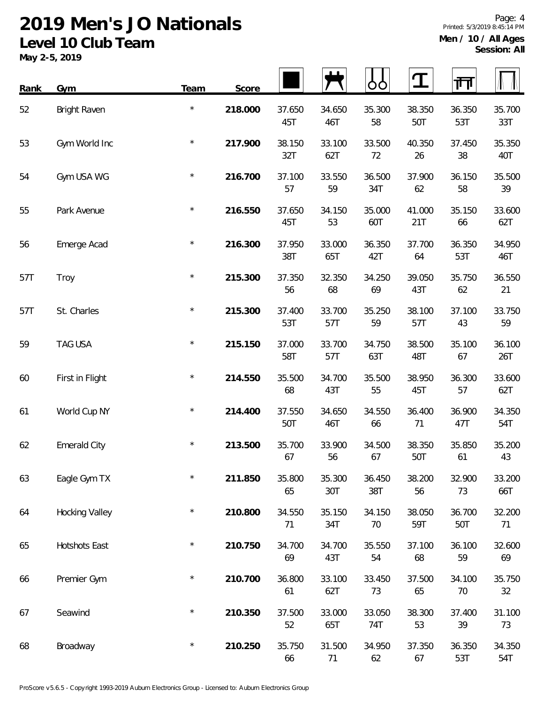| Rank | Gym                   | Team    | Score   |               |               |               | I             | 帀             |               |
|------|-----------------------|---------|---------|---------------|---------------|---------------|---------------|---------------|---------------|
| 52   | Bright Raven          | $\star$ | 218.000 | 37.650<br>45T | 34.650<br>46T | 35.300<br>58  | 38.350<br>50T | 36.350<br>53T | 35.700<br>33T |
| 53   | Gym World Inc         | $\star$ | 217.900 | 38.150<br>32T | 33.100<br>62T | 33.500<br>72  | 40.350<br>26  | 37.450<br>38  | 35.350<br>40T |
| 54   | Gym USA WG            | $\star$ | 216.700 | 37.100<br>57  | 33.550<br>59  | 36.500<br>34T | 37.900<br>62  | 36.150<br>58  | 35.500<br>39  |
| 55   | Park Avenue           | $\star$ | 216.550 | 37.650<br>45T | 34.150<br>53  | 35.000<br>60T | 41.000<br>21T | 35.150<br>66  | 33.600<br>62T |
| 56   | Emerge Acad           | $\star$ | 216.300 | 37.950<br>38T | 33.000<br>65T | 36.350<br>42T | 37.700<br>64  | 36.350<br>53T | 34.950<br>46T |
| 57T  | Troy                  | $\star$ | 215.300 | 37.350<br>56  | 32.350<br>68  | 34.250<br>69  | 39.050<br>43T | 35.750<br>62  | 36.550<br>21  |
| 57T  | St. Charles           | $\star$ | 215.300 | 37.400<br>53T | 33.700<br>57T | 35.250<br>59  | 38.100<br>57T | 37.100<br>43  | 33.750<br>59  |
| 59   | TAG USA               | $\star$ | 215.150 | 37.000<br>58T | 33.700<br>57T | 34.750<br>63T | 38.500<br>48T | 35.100<br>67  | 36.100<br>26T |
| 60   | First in Flight       | $\star$ | 214.550 | 35.500<br>68  | 34.700<br>43T | 35.500<br>55  | 38.950<br>45T | 36.300<br>57  | 33.600<br>62T |
| 61   | World Cup NY          | $\star$ | 214.400 | 37.550<br>50T | 34.650<br>46T | 34.550<br>66  | 36.400<br>71  | 36.900<br>47T | 34.350<br>54T |
| 62   | <b>Emerald City</b>   | $\star$ | 213.500 | 35.700<br>67  | 33.900<br>56  | 34.500<br>67  | 38.350<br>50T | 35.850<br>61  | 35.200<br>43  |
| 63   | Eagle Gym TX          | $\star$ | 211.850 | 35.800<br>65  | 35.300<br>30T | 36.450<br>38T | 38.200<br>56  | 32.900<br>73  | 33.200<br>66T |
| 64   | <b>Hocking Valley</b> | $\star$ | 210.800 | 34.550<br>71  | 35.150<br>34T | 34.150<br>70  | 38.050<br>59T | 36.700<br>50T | 32.200<br>71  |
| 65   | Hotshots East         | $\star$ | 210.750 | 34.700<br>69  | 34.700<br>43T | 35.550<br>54  | 37.100<br>68  | 36.100<br>59  | 32.600<br>69  |
| 66   | Premier Gym           | $\star$ | 210.700 | 36.800<br>61  | 33.100<br>62T | 33.450<br>73  | 37.500<br>65  | 34.100<br>70  | 35.750<br>32  |
| 67   | Seawind               | $\star$ | 210.350 | 37.500<br>52  | 33.000<br>65T | 33.050<br>74T | 38.300<br>53  | 37.400<br>39  | 31.100<br>73  |
| 68   | Broadway              | $\star$ | 210.250 | 35.750<br>66  | 31.500<br>71  | 34.950<br>62  | 37.350<br>67  | 36.350<br>53T | 34.350<br>54T |